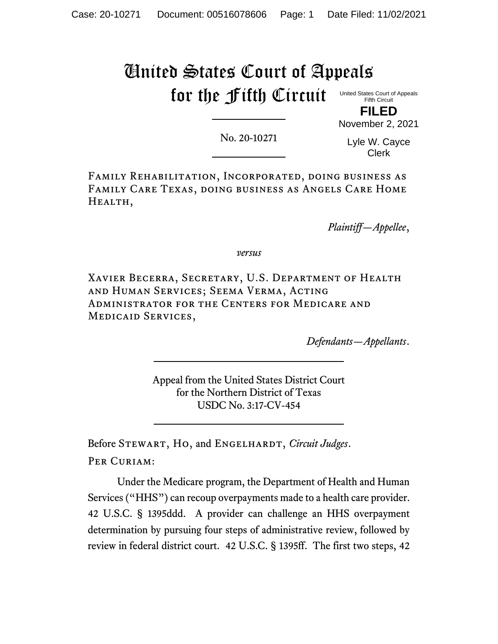## United States Court of Appeals for the Fifth Circuit

United States Court of Appeals Fifth Circuit **FILED**

No. 20-10271

Lyle W. Cayce Clerk

November 2, 2021

Family Rehabilitation, Incorporated, doing business as Family Care Texas, doing business as Angels Care Home HEALTH,

*Plaintiff—Appellee*,

*versus*

Xavier Becerra, Secretary, U.S. Department of Health and Human Services; Seema Verma, Acting Administrator for the Centers for Medicare and Medicaid Services,

*Defendants—Appellants*.

Appeal from the United States District Court for the Northern District of Texas USDC No. 3:17-CV-454

Before STEWART, HO, and ENGELHARDT, *Circuit Judges*. PER CURIAM:

Under the Medicare program, the Department of Health and Human Services ("HHS") can recoup overpayments made to a health care provider. 42 U.S.C. § 1395ddd. A provider can challenge an HHS overpayment determination by pursuing four steps of administrative review, followed by review in federal district court. 42 U.S.C. § 1395ff. The first two steps, 42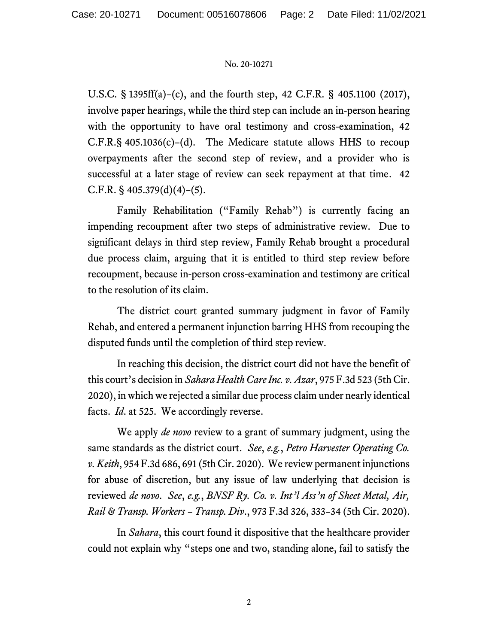## No. 20-10271

U.S.C. § 1395ff(a)–(c), and the fourth step, 42 C.F.R. § 405.1100 (2017), involve paper hearings, while the third step can include an in-person hearing with the opportunity to have oral testimony and cross-examination, 42 C.F.R.§ 405.1036(c)–(d). The Medicare statute allows HHS to recoup overpayments after the second step of review, and a provider who is successful at a later stage of review can seek repayment at that time. 42 C.F.R. §  $405.379(d)(4)–(5)$ .

Family Rehabilitation ("Family Rehab") is currently facing an impending recoupment after two steps of administrative review. Due to significant delays in third step review, Family Rehab brought a procedural due process claim, arguing that it is entitled to third step review before recoupment, because in-person cross-examination and testimony are critical to the resolution of its claim.

The district court granted summary judgment in favor of Family Rehab, and entered a permanent injunction barring HHS from recouping the disputed funds until the completion of third step review.

In reaching this decision, the district court did not have the benefit of this court's decision in *Sahara Health Care Inc. v. Azar*, 975 F.3d 523 (5th Cir. 2020), in which we rejected a similar due process claim under nearly identical facts. *Id*. at 525. We accordingly reverse.

We apply *de novo* review to a grant of summary judgment, using the same standards as the district court. *See*, *e.g.*, *Petro Harvester Operating Co. v. Keith*, 954 F.3d 686, 691 (5th Cir. 2020). We review permanent injunctions for abuse of discretion, but any issue of law underlying that decision is reviewed *de novo*. *See*, *e.g.*, *BNSF Ry. Co. v. Int'l Ass'n of Sheet Metal, Air, Rail & Transp. Workers – Transp. Div*., 973 F.3d 326, 333–34 (5th Cir. 2020).

In *Sahara*, this court found it dispositive that the healthcare provider could not explain why "steps one and two, standing alone, fail to satisfy the